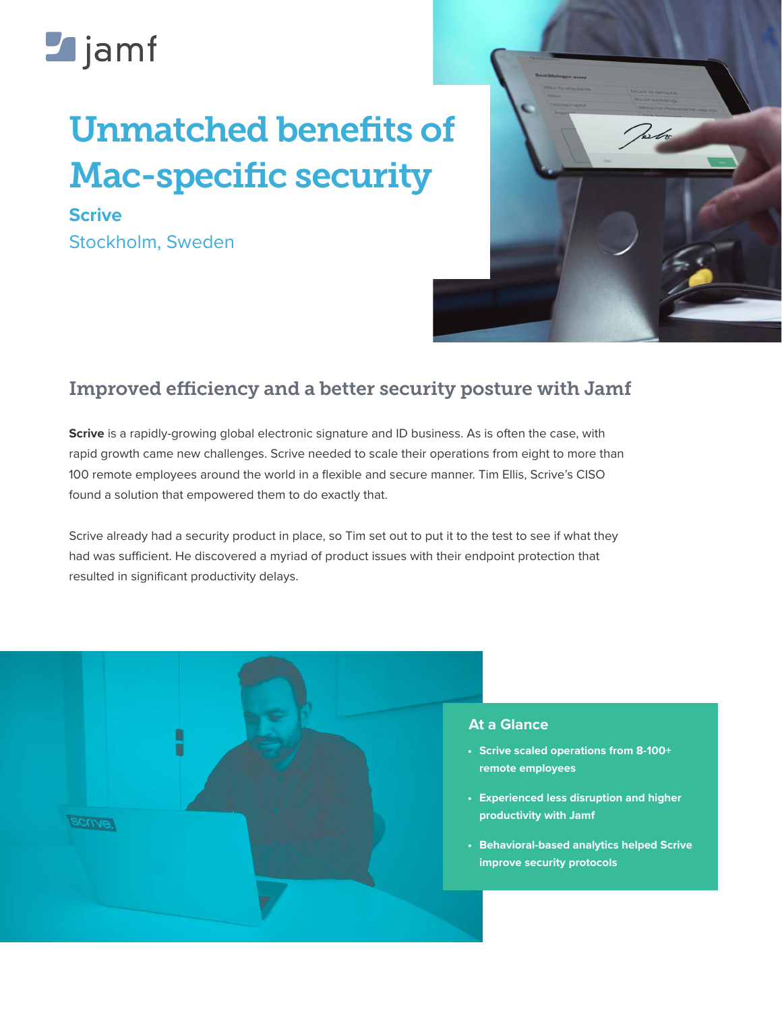# **Z**jamf

## Unmatched benefits of Mac-specific security

**Scrive**  Stockholm, Sweden



### Improved efficiency and a better security posture with Jamf

**[Scrive](https://www.scrive.com/)** is a rapidly-growing global electronic signature and ID business. As is often the case, with rapid growth came new challenges. Scrive needed to scale their operations from eight to more than 100 remote employees around the world in a flexible and secure manner. Tim Ellis, Scrive's CISO found a solution that empowered them to do exactly that.

Scrive already had a security product in place, so Tim set out to put it to the test to see if what they had was sufficient. He discovered a myriad of product issues with their endpoint protection that resulted in significant productivity delays.



#### **At a Glance**

- **• Scrive scaled operations from 8-100+ remote employees**
- **• Experienced less disruption and higher productivity with Jamf**
- **• Behavioral-based analytics helped Scrive improve security protocols**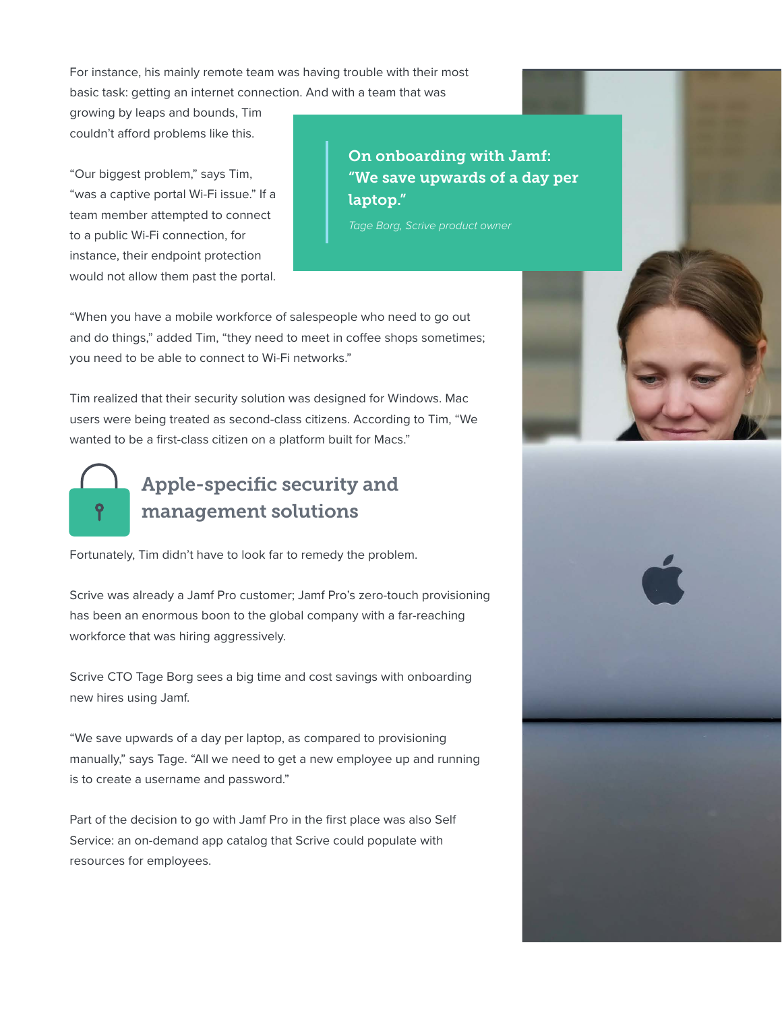For instance, his mainly remote team was having trouble with their most basic task: getting an internet connection. And with a team that was

growing by leaps and bounds, Tim couldn't afford problems like this.

"Our biggest problem," says Tim, "was a captive portal Wi-Fi issue." If a team member attempted to connect to a public Wi-Fi connection, for instance, their endpoint protection would not allow them past the portal.

On onboarding with Jamf: "We save upwards of a day per laptop."

*Tage Borg, Scrive product owner*

"When you have a mobile workforce of salespeople who need to go out and do things," added Tim, "they need to meet in coffee shops sometimes; you need to be able to connect to Wi-Fi networks."

Tim realized that their security solution was designed for Windows. Mac users were being treated as second-class citizens. According to Tim, "We wanted to be a first-class citizen on a platform built for Macs."



## Apple-specific security and management solutions

Fortunately, Tim didn't have to look far to remedy the problem.

Scrive was already a Jamf Pro customer; Jamf Pro's zero-touch provisioning has been an enormous boon to the global company with a far-reaching workforce that was hiring aggressively.

Scrive CTO Tage Borg sees a big time and cost savings with onboarding new hires using Jamf.

"We save upwards of a day per laptop, as compared to provisioning manually," says Tage. "All we need to get a new employee up and running is to create a username and password."

Part of the decision to go with Jamf Pro in the first place was also Self Service: an on-demand app catalog that Scrive could populate with resources for employees.





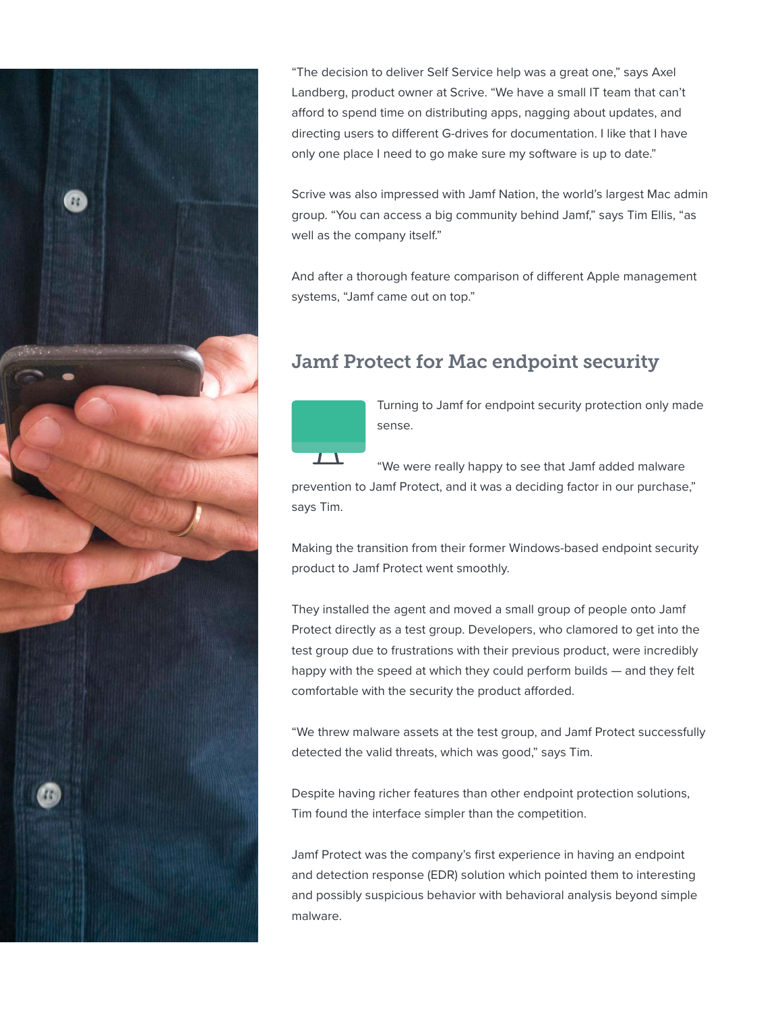

"The decision to deliver Self Service help was a great one," says Axel Landberg, product owner at Scrive. "We have a small IT team that can't afford to spend time on distributing apps, nagging about updates, and directing users to different G-drives for documentation. I like that I have only one place I need to go make sure my software is up to date."

Scrive was also impressed with Jamf Nation, the world's largest Mac admin group. "You can access a big community behind Jamf," says Tim Ellis, "as well as the company itself."

And after a thorough feature comparison of different Apple management systems, "Jamf came out on top."

## Jamf Protect for Mac endpoint security



Turning to Jamf for endpoint security protection only made sense.

"We were really happy to see that Jamf added malware prevention to Jamf Protect, and it was a deciding factor in our purchase," says Tim.

Making the transition from their former Windows-based endpoint security product to Jamf Protect went smoothly.

They installed the agent and moved a small group of people onto Jamf Protect directly as a test group. Developers, who clamored to get into the test group due to frustrations with their previous product, were incredibly happy with the speed at which they could perform builds — and they felt comfortable with the security the product afforded.

"We threw malware assets at the test group, and Jamf Protect successfully detected the valid threats, which was good," says Tim.

Despite having richer features than other endpoint protection solutions, Tim found the interface simpler than the competition.

Jamf Protect was the company's first experience in having an endpoint and detection response (EDR) solution which pointed them to interesting and possibly suspicious behavior with behavioral analysis beyond simple malware.